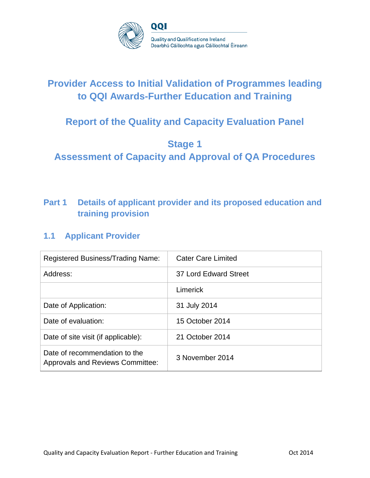

# **Provider Access to Initial Validation of Programmes leading to QQI Awards-Further Education and Training**

# **Report of the Quality and Capacity Evaluation Panel**

## **Stage 1**

**Assessment of Capacity and Approval of QA Procedures**

## **Part 1 Details of applicant provider and its proposed education and training provision**

### **1.1 Applicant Provider**

| <b>Registered Business/Trading Name:</b>                                 | <b>Cater Care Limited</b> |  |
|--------------------------------------------------------------------------|---------------------------|--|
| Address:                                                                 | 37 Lord Edward Street     |  |
|                                                                          | Limerick                  |  |
| Date of Application:                                                     | 31 July 2014              |  |
| Date of evaluation:                                                      | 15 October 2014           |  |
| Date of site visit (if applicable):                                      | 21 October 2014           |  |
| Date of recommendation to the<br><b>Approvals and Reviews Committee:</b> | 3 November 2014           |  |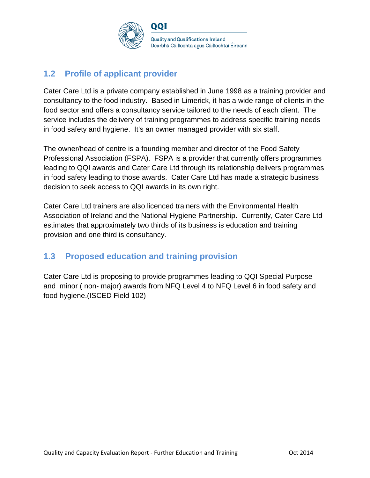

## **1.2 Profile of applicant provider**

Cater Care Ltd is a private company established in June 1998 as a training provider and consultancy to the food industry. Based in Limerick, it has a wide range of clients in the food sector and offers a consultancy service tailored to the needs of each client. The service includes the delivery of training programmes to address specific training needs in food safety and hygiene. It's an owner managed provider with six staff.

The owner/head of centre is a founding member and director of the Food Safety Professional Association (FSPA). FSPA is a provider that currently offers programmes leading to QQI awards and Cater Care Ltd through its relationship delivers programmes in food safety leading to those awards. Cater Care Ltd has made a strategic business decision to seek access to QQI awards in its own right.

Cater Care Ltd trainers are also licenced trainers with the Environmental Health Association of Ireland and the National Hygiene Partnership. Currently, Cater Care Ltd estimates that approximately two thirds of its business is education and training provision and one third is consultancy.

## **1.3 Proposed education and training provision**

Cater Care Ltd is proposing to provide programmes leading to QQI Special Purpose and minor ( non- major) awards from NFQ Level 4 to NFQ Level 6 in food safety and food hygiene.(ISCED Field 102)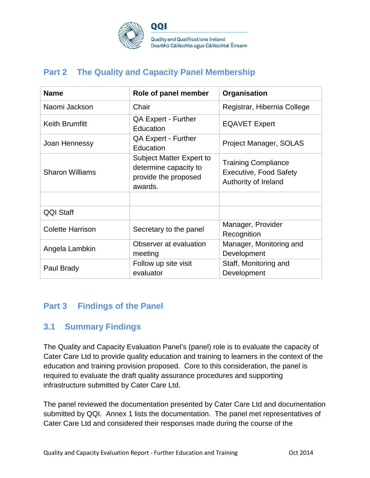

**Quality and Qualifications Ireland** Dearbhú Cáilíochta agus Cáilíochtaí Éireann

## **Part 2 The Quality and Capacity Panel Membership**

| <b>Name</b>             | Role of panel member                                                                        | Organisation                                                                        |
|-------------------------|---------------------------------------------------------------------------------------------|-------------------------------------------------------------------------------------|
| Naomi Jackson           | Chair                                                                                       | Registrar, Hibernia College                                                         |
| <b>Keith Brumfitt</b>   | <b>QA Expert - Further</b><br>Education                                                     | <b>EQAVET Expert</b>                                                                |
| Joan Hennessy           | <b>QA Expert - Further</b><br>Education                                                     | Project Manager, SOLAS                                                              |
| <b>Sharon Williams</b>  | <b>Subject Matter Expert to</b><br>determine capacity to<br>provide the proposed<br>awards. | <b>Training Compliance</b><br><b>Executive, Food Safety</b><br>Authority of Ireland |
|                         |                                                                                             |                                                                                     |
| <b>QQI Staff</b>        |                                                                                             |                                                                                     |
| <b>Colette Harrison</b> | Secretary to the panel                                                                      | Manager, Provider<br>Recognition                                                    |
| Angela Lambkin          | Observer at evaluation<br>meeting                                                           | Manager, Monitoring and<br>Development                                              |
| Paul Brady              | Follow up site visit<br>evaluator                                                           | Staff, Monitoring and<br>Development                                                |

### **Part 3 Findings of the Panel**

### **3.1 Summary Findings**

The Quality and Capacity Evaluation Panel's (panel) role is to evaluate the capacity of Cater Care Ltd to provide quality education and training to learners in the context of the education and training provision proposed. Core to this consideration, the panel is required to evaluate the draft quality assurance procedures and supporting infrastructure submitted by Cater Care Ltd.

The panel reviewed the documentation presented by Cater Care Ltd and documentation submitted by QQI. Annex 1 lists the documentation. The panel met representatives of Cater Care Ltd and considered their responses made during the course of the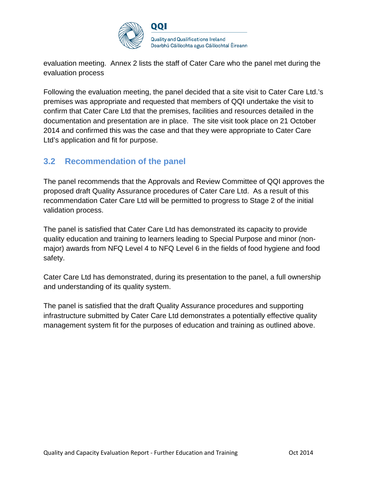

evaluation meeting. Annex 2 lists the staff of Cater Care who the panel met during the evaluation process

Following the evaluation meeting, the panel decided that a site visit to Cater Care Ltd.'s premises was appropriate and requested that members of QQI undertake the visit to confirm that Cater Care Ltd that the premises, facilities and resources detailed in the documentation and presentation are in place. The site visit took place on 21 October 2014 and confirmed this was the case and that they were appropriate to Cater Care Ltd's application and fit for purpose.

### **3.2 Recommendation of the panel**

The panel recommends that the Approvals and Review Committee of QQI approves the proposed draft Quality Assurance procedures of Cater Care Ltd. As a result of this recommendation Cater Care Ltd will be permitted to progress to Stage 2 of the initial validation process.

The panel is satisfied that Cater Care Ltd has demonstrated its capacity to provide quality education and training to learners leading to Special Purpose and minor (nonmajor) awards from NFQ Level 4 to NFQ Level 6 in the fields of food hygiene and food safety.

Cater Care Ltd has demonstrated, during its presentation to the panel, a full ownership and understanding of its quality system.

The panel is satisfied that the draft Quality Assurance procedures and supporting infrastructure submitted by Cater Care Ltd demonstrates a potentially effective quality management system fit for the purposes of education and training as outlined above.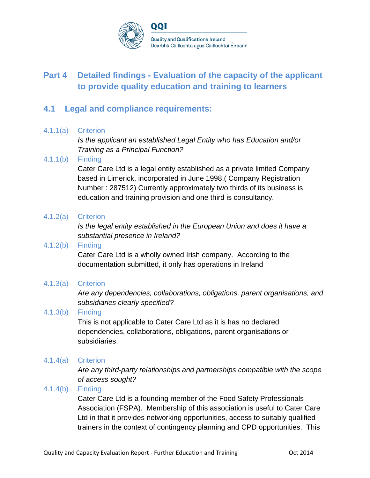

## **Part 4 Detailed findings - Evaluation of the capacity of the applicant to provide quality education and training to learners**

### **4.1 Legal and compliance requirements:**

#### 4.1.1(a) Criterion

*Is the applicant an established Legal Entity who has Education and/or Training as a Principal Function?*

#### 4.1.1(b) Finding

Cater Care Ltd is a legal entity established as a private limited Company based in Limerick, incorporated in June 1998.( Company Registration Number : 287512) Currently approximately two thirds of its business is education and training provision and one third is consultancy.

#### 4.1.2(a) Criterion

*Is the legal entity established in the European Union and does it have a substantial presence in Ireland?*

#### 4.1.2(b) Finding

Cater Care Ltd is a wholly owned Irish company. According to the documentation submitted, it only has operations in Ireland

#### 4.1.3(a) Criterion

*Are any dependencies, collaborations, obligations, parent organisations, and subsidiaries clearly specified?*

#### 4.1.3(b) Finding

This is not applicable to Cater Care Ltd as it is has no declared dependencies, collaborations, obligations, parent organisations or subsidiaries.

#### 4.1.4(a) Criterion

*Are any third-party relationships and partnerships compatible with the scope of access sought?*

#### 4.1.4(b) Finding

Cater Care Ltd is a founding member of the Food Safety Professionals Association (FSPA). Membership of this association is useful to Cater Care Ltd in that it provides networking opportunities, access to suitably qualified trainers in the context of contingency planning and CPD opportunities. This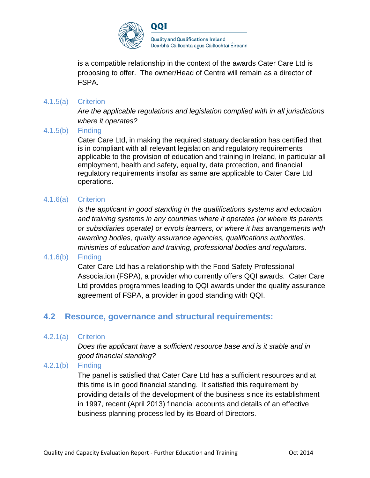

is a compatible relationship in the context of the awards Cater Care Ltd is proposing to offer. The owner/Head of Centre will remain as a director of FSPA.

#### 4.1.5(a) Criterion

*Are the applicable regulations and legislation complied with in all jurisdictions where it operates?*

#### 4.1.5(b) Finding

Cater Care Ltd, in making the required statuary declaration has certified that is in compliant with all relevant legislation and regulatory requirements applicable to the provision of education and training in Ireland, in particular all employment, health and safety, equality, data protection, and financial regulatory requirements insofar as same are applicable to Cater Care Ltd operations.

#### 4.1.6(a) Criterion

*Is the applicant in good standing in the qualifications systems and education and training systems in any countries where it operates (or where its parents or subsidiaries operate) or enrols learners, or where it has arrangements with awarding bodies, quality assurance agencies, qualifications authorities, ministries of education and training, professional bodies and regulators.*

#### 4.1.6(b) Finding

Cater Care Ltd has a relationship with the Food Safety Professional Association (FSPA), a provider who currently offers QQI awards. Cater Care Ltd provides programmes leading to QQI awards under the quality assurance agreement of FSPA, a provider in good standing with QQI.

### **4.2 Resource, governance and structural requirements:**

#### 4.2.1(a) Criterion

*Does the applicant have a sufficient resource base and is it stable and in good financial standing?* 

#### 4.2.1(b) Finding

The panel is satisfied that Cater Care Ltd has a sufficient resources and at this time is in good financial standing. It satisfied this requirement by providing details of the development of the business since its establishment in 1997, recent (April 2013) financial accounts and details of an effective business planning process led by its Board of Directors.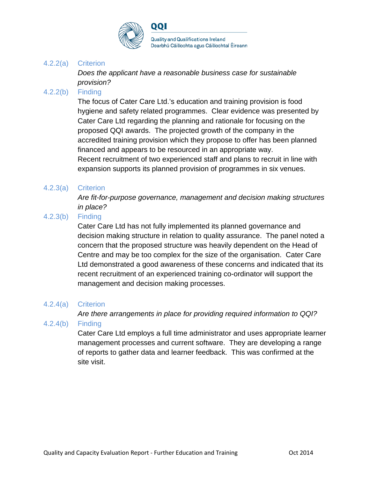

#### 4.2.2(a) Criterion

*Does the applicant have a reasonable business case for sustainable provision?*

#### 4.2.2(b) Finding

The focus of Cater Care Ltd.'s education and training provision is food hygiene and safety related programmes. Clear evidence was presented by Cater Care Ltd regarding the planning and rationale for focusing on the proposed QQI awards. The projected growth of the company in the accredited training provision which they propose to offer has been planned financed and appears to be resourced in an appropriate way. Recent recruitment of two experienced staff and plans to recruit in line with expansion supports its planned provision of programmes in six venues.

#### 4.2.3(a) Criterion

*Are fit-for-purpose governance, management and decision making structures in place?*

#### 4.2.3(b) Finding

Cater Care Ltd has not fully implemented its planned governance and decision making structure in relation to quality assurance. The panel noted a concern that the proposed structure was heavily dependent on the Head of Centre and may be too complex for the size of the organisation. Cater Care Ltd demonstrated a good awareness of these concerns and indicated that its recent recruitment of an experienced training co-ordinator will support the management and decision making processes.

#### 4.2.4(a) Criterion

*Are there arrangements in place for providing required information to QQI?*

#### 4.2.4(b) Finding

Cater Care Ltd employs a full time administrator and uses appropriate learner management processes and current software. They are developing a range of reports to gather data and learner feedback. This was confirmed at the site visit.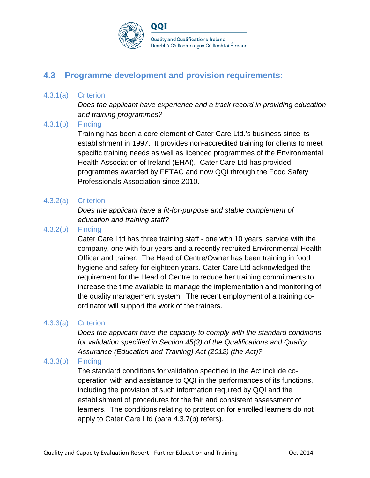

## **4.3 Programme development and provision requirements:**

#### 4.3.1(a) Criterion

*Does the applicant have experience and a track record in providing education and training programmes?*

#### 4.3.1(b) Finding

Training has been a core element of Cater Care Ltd.'s business since its establishment in 1997. It provides non-accredited training for clients to meet specific training needs as well as licenced programmes of the Environmental Health Association of Ireland (EHAI). Cater Care Ltd has provided programmes awarded by FETAC and now QQI through the Food Safety Professionals Association since 2010.

#### 4.3.2(a) Criterion

*Does the applicant have a fit-for-purpose and stable complement of education and training staff?*

#### 4.3.2(b) Finding

Cater Care Ltd has three training staff - one with 10 years' service with the company, one with four years and a recently recruited Environmental Health Officer and trainer. The Head of Centre/Owner has been training in food hygiene and safety for eighteen years. Cater Care Ltd acknowledged the requirement for the Head of Centre to reduce her training commitments to increase the time available to manage the implementation and monitoring of the quality management system. The recent employment of a training coordinator will support the work of the trainers.

#### 4.3.3(a) Criterion

*Does the applicant have the capacity to comply with the standard conditions for validation specified in Section 45(3) of the Qualifications and Quality Assurance (Education and Training) Act (2012) (the Act)?*

#### 4.3.3(b) Finding

The standard conditions for validation specified in the Act include cooperation with and assistance to QQI in the performances of its functions, including the provision of such information required by QQI and the establishment of procedures for the fair and consistent assessment of learners. The conditions relating to protection for enrolled learners do not apply to Cater Care Ltd (para 4.3.7(b) refers).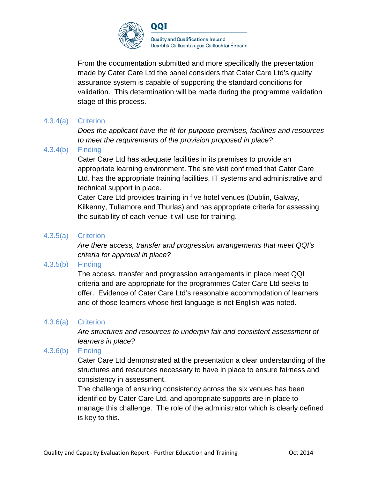

From the documentation submitted and more specifically the presentation made by Cater Care Ltd the panel considers that Cater Care Ltd's quality assurance system is capable of supporting the standard conditions for validation. This determination will be made during the programme validation stage of this process.

#### 4.3.4(a) Criterion

*Does the applicant have the fit-for-purpose premises, facilities and resources to meet the requirements of the provision proposed in place?*

#### 4.3.4(b) Finding

Cater Care Ltd has adequate facilities in its premises to provide an appropriate learning environment. The site visit confirmed that Cater Care Ltd. has the appropriate training facilities, IT systems and administrative and technical support in place.

Cater Care Ltd provides training in five hotel venues (Dublin, Galway, Kilkenny, Tullamore and Thurlas) and has appropriate criteria for assessing the suitability of each venue it will use for training.

#### 4.3.5(a) Criterion

*Are there access, transfer and progression arrangements that meet QQI's criteria for approval in place?*

#### 4.3.5(b) Finding

The access, transfer and progression arrangements in place meet QQI criteria and are appropriate for the programmes Cater Care Ltd seeks to offer. Evidence of Cater Care Ltd's reasonable accommodation of learners and of those learners whose first language is not English was noted.

#### 4.3.6(a) Criterion

*Are structures and resources to underpin fair and consistent assessment of learners in place?*

#### 4.3.6(b) Finding

Cater Care Ltd demonstrated at the presentation a clear understanding of the structures and resources necessary to have in place to ensure fairness and consistency in assessment.

The challenge of ensuring consistency across the six venues has been identified by Cater Care Ltd. and appropriate supports are in place to manage this challenge. The role of the administrator which is clearly defined is key to this.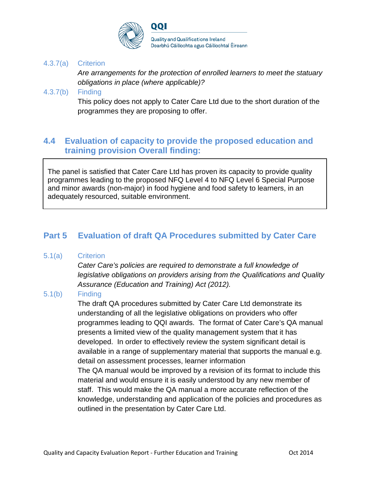

#### 4.3.7(a) Criterion

*Are arrangements for the protection of enrolled learners to meet the statuary obligations in place (where applicable)?*

#### 4.3.7(b) Finding

This policy does not apply to Cater Care Ltd due to the short duration of the programmes they are proposing to offer.

### **4.4 Evaluation of capacity to provide the proposed education and training provision Overall finding:**

The panel is satisfied that Cater Care Ltd has proven its capacity to provide quality programmes leading to the proposed NFQ Level 4 to NFQ Level 6 Special Purpose and minor awards (non-major) in food hygiene and food safety to learners, in an adequately resourced, suitable environment.

### **Part 5 Evaluation of draft QA Procedures submitted by Cater Care**

#### 5.1(a) Criterion

*Cater Care's policies are required to demonstrate a full knowledge of legislative obligations on providers arising from the Qualifications and Quality Assurance (Education and Training) Act (2012).*

#### 5.1(b) Finding

The draft QA procedures submitted by Cater Care Ltd demonstrate its understanding of all the legislative obligations on providers who offer programmes leading to QQI awards. The format of Cater Care's QA manual presents a limited view of the quality management system that it has developed. In order to effectively review the system significant detail is available in a range of supplementary material that supports the manual e.g. detail on assessment processes, learner information

The QA manual would be improved by a revision of its format to include this material and would ensure it is easily understood by any new member of staff. This would make the QA manual a more accurate reflection of the knowledge, understanding and application of the policies and procedures as outlined in the presentation by Cater Care Ltd.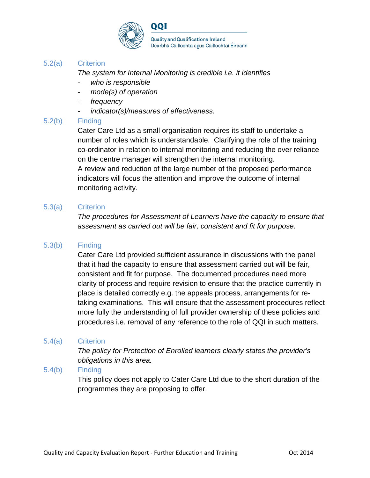

#### 5.2(a) Criterion

*The system for Internal Monitoring is credible i.e. it identifies*

- *- who is responsible*
- *- mode(s) of operation*
- *- frequency*
- *- indicator(s)/measures of effectiveness.*

#### 5.2(b) Finding

Cater Care Ltd as a small organisation requires its staff to undertake a number of roles which is understandable. Clarifying the role of the training co-ordinator in relation to internal monitoring and reducing the over reliance on the centre manager will strengthen the internal monitoring. A review and reduction of the large number of the proposed performance indicators will focus the attention and improve the outcome of internal monitoring activity.

#### 5.3(a) Criterion

*The procedures for Assessment of Learners have the capacity to ensure that assessment as carried out will be fair, consistent and fit for purpose.*

#### 5.3(b) Finding

Cater Care Ltd provided sufficient assurance in discussions with the panel that it had the capacity to ensure that assessment carried out will be fair, consistent and fit for purpose. The documented procedures need more clarity of process and require revision to ensure that the practice currently in place is detailed correctly e.g. the appeals process, arrangements for retaking examinations. This will ensure that the assessment procedures reflect more fully the understanding of full provider ownership of these policies and procedures i.e. removal of any reference to the role of QQI in such matters.

#### 5.4(a) Criterion

*The policy for Protection of Enrolled learners clearly states the provider's obligations in this area.*

#### 5.4(b) Finding

This policy does not apply to Cater Care Ltd due to the short duration of the programmes they are proposing to offer.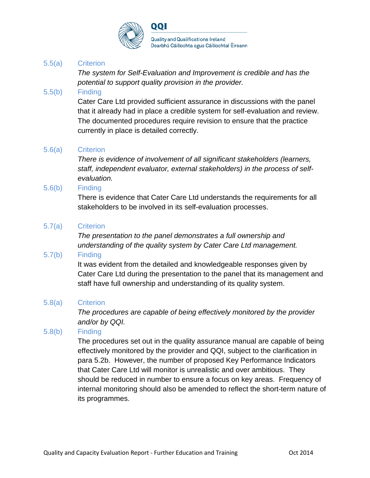

#### 5.5(a) Criterion

*The system for Self-Evaluation and Improvement is credible and has the potential to support quality provision in the provider.*

#### 5.5(b) Finding

Cater Care Ltd provided sufficient assurance in discussions with the panel that it already had in place a credible system for self-evaluation and review. The documented procedures require revision to ensure that the practice currently in place is detailed correctly.

#### 5.6(a) Criterion

*There is evidence of involvement of all significant stakeholders (learners, staff, independent evaluator, external stakeholders) in the process of selfevaluation.*

#### 5.6(b) Finding

There is evidence that Cater Care Ltd understands the requirements for all stakeholders to be involved in its self-evaluation processes.

#### 5.7(a) Criterion

*The presentation to the panel demonstrates a full ownership and understanding of the quality system by Cater Care Ltd management.*

#### 5.7(b) Finding

It was evident from the detailed and knowledgeable responses given by Cater Care Ltd during the presentation to the panel that its management and staff have full ownership and understanding of its quality system.

#### 5.8(a) Criterion

*The procedures are capable of being effectively monitored by the provider and/or by QQI.*

#### 5.8(b) Finding

The procedures set out in the quality assurance manual are capable of being effectively monitored by the provider and QQI, subject to the clarification in para 5.2b. However, the number of proposed Key Performance Indicators that Cater Care Ltd will monitor is unrealistic and over ambitious. They should be reduced in number to ensure a focus on key areas. Frequency of internal monitoring should also be amended to reflect the short-term nature of its programmes.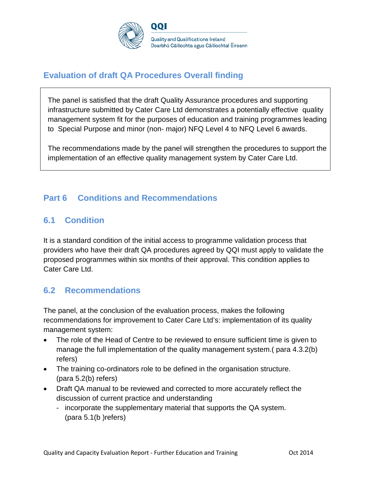

## **Evaluation of draft QA Procedures Overall finding**

The panel is satisfied that the draft Quality Assurance procedures and supporting infrastructure submitted by Cater Care Ltd demonstrates a potentially effective quality management system fit for the purposes of education and training programmes leading to Special Purpose and minor (non- major) NFQ Level 4 to NFQ Level 6 awards.

The recommendations made by the panel will strengthen the procedures to support the implementation of an effective quality management system by Cater Care Ltd.

## **Part 6 Conditions and Recommendations**

### **6.1 Condition**

It is a standard condition of the initial access to programme validation process that providers who have their draft QA procedures agreed by QQI must apply to validate the proposed programmes within six months of their approval. This condition applies to Cater Care Ltd.

### **6.2 Recommendations**

The panel, at the conclusion of the evaluation process, makes the following recommendations for improvement to Cater Care Ltd's: implementation of its quality management system:

- The role of the Head of Centre to be reviewed to ensure sufficient time is given to manage the full implementation of the quality management system.( para 4.3.2(b) refers)
- The training co-ordinators role to be defined in the organisation structure. (para 5.2(b) refers)
- Draft QA manual to be reviewed and corrected to more accurately reflect the discussion of current practice and understanding
	- incorporate the supplementary material that supports the QA system. (para 5.1(b )refers)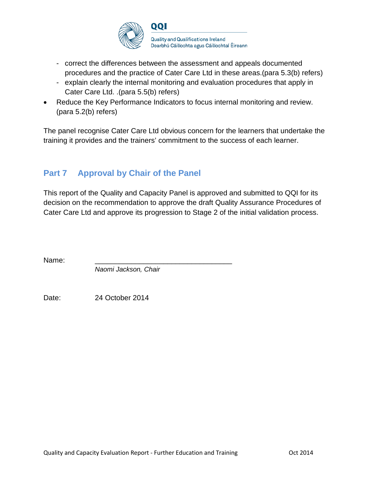

- correct the differences between the assessment and appeals documented procedures and the practice of Cater Care Ltd in these areas.(para 5.3(b) refers)
- explain clearly the internal monitoring and evaluation procedures that apply in Cater Care Ltd. .(para 5.5(b) refers)
- Reduce the Key Performance Indicators to focus internal monitoring and review. (para 5.2(b) refers)

The panel recognise Cater Care Ltd obvious concern for the learners that undertake the training it provides and the trainers' commitment to the success of each learner.

## **Part 7 Approval by Chair of the Panel**

This report of the Quality and Capacity Panel is approved and submitted to QQI for its decision on the recommendation to approve the draft Quality Assurance Procedures of Cater Care Ltd and approve its progression to Stage 2 of the initial validation process.

Name: \_\_\_\_\_\_\_\_\_\_\_\_\_\_\_\_\_\_\_\_\_\_\_\_\_\_\_\_\_\_\_\_\_\_

*Naomi Jackson, Chair*

Date: 24 October 2014